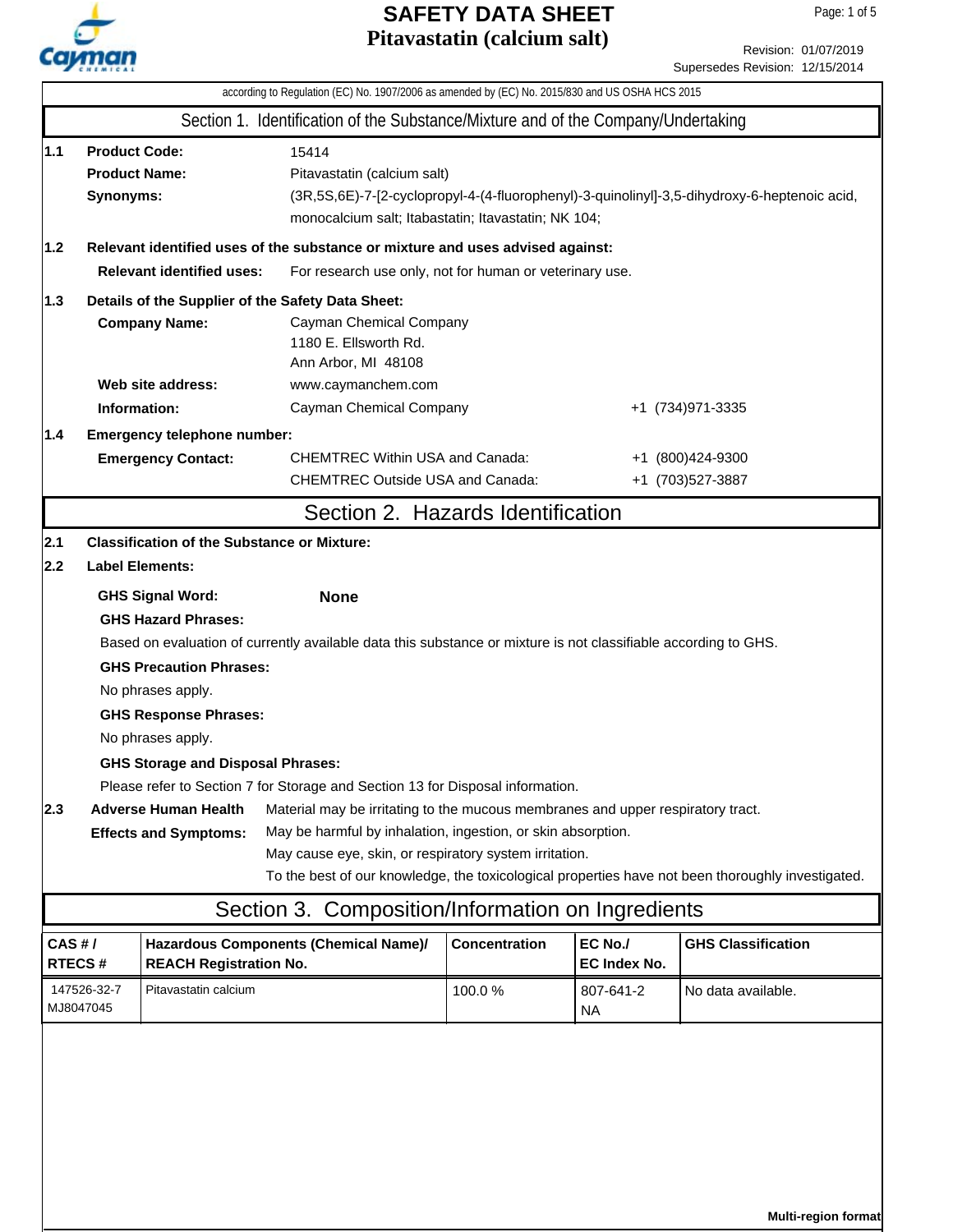

**Multi-region format**

Revision: 01/07/2019 Supersedes Revision: 12/15/2014

|                                                                                                 |                                                                                                                                                                                                                                                                                                                                                                                                                                                                                                                                                                                                                                                                                                                                                                                                                    |                                                                              | according to Regulation (EC) No. 1907/2006 as amended by (EC) No. 2015/830 and US OSHA HCS 2015 |                                                                                              |                         |                                      |  |
|-------------------------------------------------------------------------------------------------|--------------------------------------------------------------------------------------------------------------------------------------------------------------------------------------------------------------------------------------------------------------------------------------------------------------------------------------------------------------------------------------------------------------------------------------------------------------------------------------------------------------------------------------------------------------------------------------------------------------------------------------------------------------------------------------------------------------------------------------------------------------------------------------------------------------------|------------------------------------------------------------------------------|-------------------------------------------------------------------------------------------------|----------------------------------------------------------------------------------------------|-------------------------|--------------------------------------|--|
|                                                                                                 |                                                                                                                                                                                                                                                                                                                                                                                                                                                                                                                                                                                                                                                                                                                                                                                                                    |                                                                              | Section 1. Identification of the Substance/Mixture and of the Company/Undertaking               |                                                                                              |                         |                                      |  |
| 1.1                                                                                             | <b>Product Code:</b><br><b>Product Name:</b><br>Synonyms:                                                                                                                                                                                                                                                                                                                                                                                                                                                                                                                                                                                                                                                                                                                                                          |                                                                              | 15414<br>Pitavastatin (calcium salt)<br>monocalcium salt; Itabastatin; Itavastatin; NK 104;     | (3R,5S,6E)-7-[2-cyclopropyl-4-(4-fluorophenyl)-3-quinolinyl]-3,5-dihydroxy-6-heptenoic acid, |                         |                                      |  |
| 1.2                                                                                             |                                                                                                                                                                                                                                                                                                                                                                                                                                                                                                                                                                                                                                                                                                                                                                                                                    |                                                                              | Relevant identified uses of the substance or mixture and uses advised against:                  |                                                                                              |                         |                                      |  |
|                                                                                                 |                                                                                                                                                                                                                                                                                                                                                                                                                                                                                                                                                                                                                                                                                                                                                                                                                    | <b>Relevant identified uses:</b>                                             | For research use only, not for human or veterinary use.                                         |                                                                                              |                         |                                      |  |
| 1.3                                                                                             |                                                                                                                                                                                                                                                                                                                                                                                                                                                                                                                                                                                                                                                                                                                                                                                                                    |                                                                              | Details of the Supplier of the Safety Data Sheet:                                               |                                                                                              |                         |                                      |  |
| <b>Company Name:</b><br>Cayman Chemical Company<br>1180 E. Ellsworth Rd.<br>Ann Arbor, MI 48108 |                                                                                                                                                                                                                                                                                                                                                                                                                                                                                                                                                                                                                                                                                                                                                                                                                    |                                                                              |                                                                                                 |                                                                                              |                         |                                      |  |
|                                                                                                 | Web site address:<br>www.caymanchem.com                                                                                                                                                                                                                                                                                                                                                                                                                                                                                                                                                                                                                                                                                                                                                                            |                                                                              |                                                                                                 |                                                                                              |                         |                                      |  |
|                                                                                                 | Information:                                                                                                                                                                                                                                                                                                                                                                                                                                                                                                                                                                                                                                                                                                                                                                                                       |                                                                              | Cayman Chemical Company                                                                         |                                                                                              |                         | +1 (734) 971-3335                    |  |
| 1.4                                                                                             |                                                                                                                                                                                                                                                                                                                                                                                                                                                                                                                                                                                                                                                                                                                                                                                                                    | Emergency telephone number:<br><b>Emergency Contact:</b>                     | <b>CHEMTREC Within USA and Canada:</b><br><b>CHEMTREC Outside USA and Canada:</b>               |                                                                                              |                         | +1 (800)424-9300<br>+1 (703)527-3887 |  |
|                                                                                                 |                                                                                                                                                                                                                                                                                                                                                                                                                                                                                                                                                                                                                                                                                                                                                                                                                    |                                                                              | Section 2. Hazards Identification                                                               |                                                                                              |                         |                                      |  |
| 2.1<br>2.2                                                                                      |                                                                                                                                                                                                                                                                                                                                                                                                                                                                                                                                                                                                                                                                                                                                                                                                                    | <b>Classification of the Substance or Mixture:</b><br><b>Label Elements:</b> |                                                                                                 |                                                                                              |                         |                                      |  |
| 2.3                                                                                             | <b>GHS Signal Word:</b><br><b>None</b><br><b>GHS Hazard Phrases:</b><br>Based on evaluation of currently available data this substance or mixture is not classifiable according to GHS.<br><b>GHS Precaution Phrases:</b><br>No phrases apply.<br><b>GHS Response Phrases:</b><br>No phrases apply.<br><b>GHS Storage and Disposal Phrases:</b><br>Please refer to Section 7 for Storage and Section 13 for Disposal information.<br><b>Adverse Human Health</b><br>Material may be irritating to the mucous membranes and upper respiratory tract.<br>May be harmful by inhalation, ingestion, or skin absorption.<br><b>Effects and Symptoms:</b><br>May cause eye, skin, or respiratory system irritation.<br>To the best of our knowledge, the toxicological properties have not been thoroughly investigated. |                                                                              |                                                                                                 |                                                                                              |                         |                                      |  |
|                                                                                                 |                                                                                                                                                                                                                                                                                                                                                                                                                                                                                                                                                                                                                                                                                                                                                                                                                    |                                                                              | Section 3. Composition/Information on Ingredients                                               |                                                                                              |                         |                                      |  |
| CAS#/                                                                                           | <b>RTECS#</b>                                                                                                                                                                                                                                                                                                                                                                                                                                                                                                                                                                                                                                                                                                                                                                                                      | Hazardous Components (Chemical Name)/<br><b>REACH Registration No.</b>       |                                                                                                 | Concentration                                                                                | EC No./<br>EC Index No. | <b>GHS Classification</b>            |  |
| 147526-32-7<br>MJ8047045                                                                        |                                                                                                                                                                                                                                                                                                                                                                                                                                                                                                                                                                                                                                                                                                                                                                                                                    | Pitavastatin calcium                                                         |                                                                                                 | 100.0%                                                                                       | 807-641-2<br><b>NA</b>  | No data available.                   |  |
|                                                                                                 |                                                                                                                                                                                                                                                                                                                                                                                                                                                                                                                                                                                                                                                                                                                                                                                                                    |                                                                              |                                                                                                 |                                                                                              |                         |                                      |  |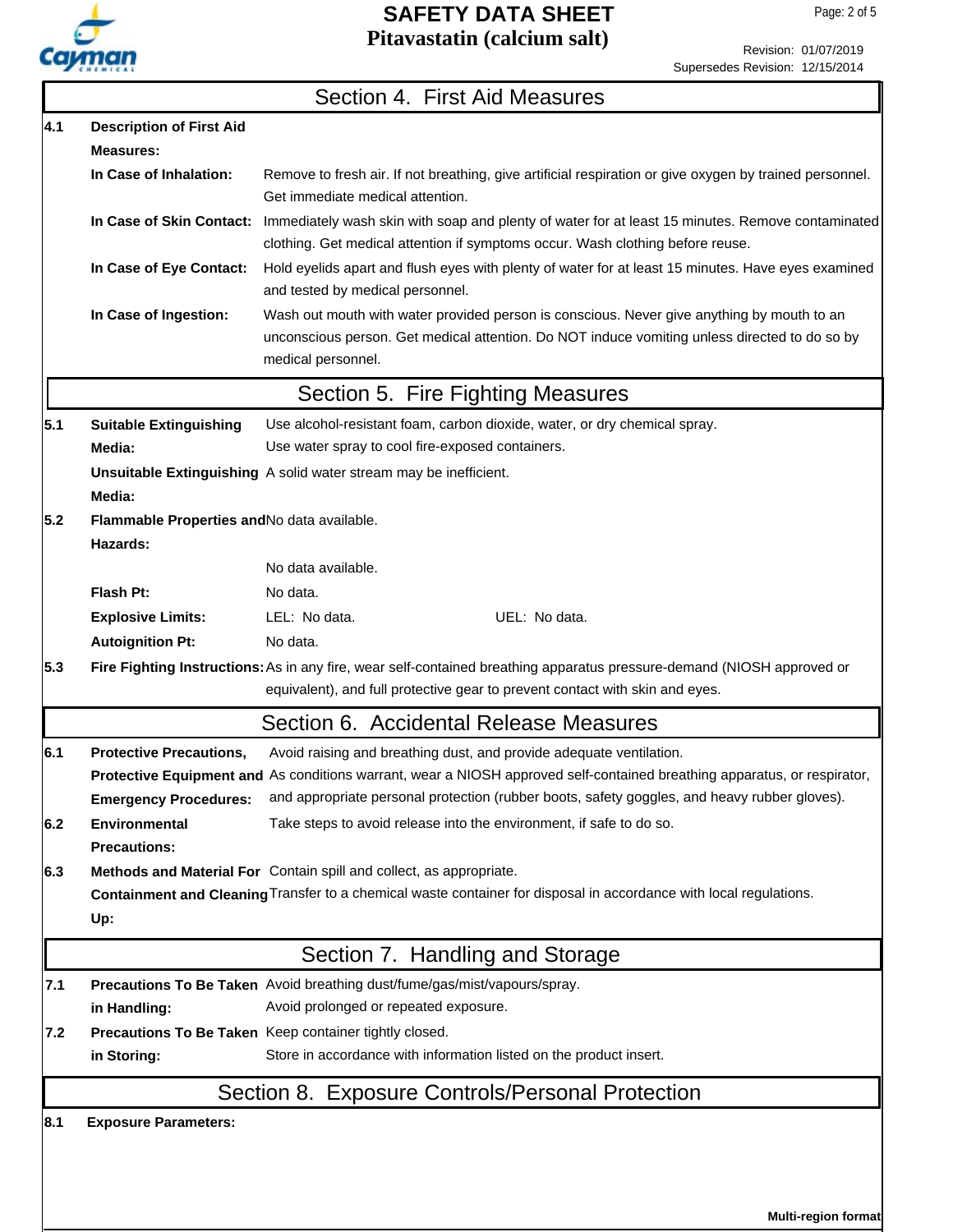

Revision: 01/07/2019 Supersedes Revision: 12/15/2014

|     |                                                         | Section 4. First Aid Measures                                                                                                                                                                                     |
|-----|---------------------------------------------------------|-------------------------------------------------------------------------------------------------------------------------------------------------------------------------------------------------------------------|
| 4.1 | <b>Description of First Aid</b>                         |                                                                                                                                                                                                                   |
|     | <b>Measures:</b>                                        |                                                                                                                                                                                                                   |
|     | In Case of Inhalation:                                  | Remove to fresh air. If not breathing, give artificial respiration or give oxygen by trained personnel.<br>Get immediate medical attention.                                                                       |
|     |                                                         | In Case of Skin Contact: Immediately wash skin with soap and plenty of water for at least 15 minutes. Remove contaminated<br>clothing. Get medical attention if symptoms occur. Wash clothing before reuse.       |
|     | In Case of Eye Contact:                                 | Hold eyelids apart and flush eyes with plenty of water for at least 15 minutes. Have eyes examined<br>and tested by medical personnel.                                                                            |
|     | In Case of Ingestion:                                   | Wash out mouth with water provided person is conscious. Never give anything by mouth to an<br>unconscious person. Get medical attention. Do NOT induce vomiting unless directed to do so by<br>medical personnel. |
|     |                                                         | Section 5. Fire Fighting Measures                                                                                                                                                                                 |
| 5.1 | <b>Suitable Extinguishing</b>                           | Use alcohol-resistant foam, carbon dioxide, water, or dry chemical spray.                                                                                                                                         |
|     | Media:                                                  | Use water spray to cool fire-exposed containers.                                                                                                                                                                  |
|     | Media:                                                  | Unsuitable Extinguishing A solid water stream may be inefficient.                                                                                                                                                 |
| 5.2 | Flammable Properties and No data available.<br>Hazards: |                                                                                                                                                                                                                   |
|     |                                                         | No data available.                                                                                                                                                                                                |
|     | Flash Pt:                                               | No data.                                                                                                                                                                                                          |
|     | <b>Explosive Limits:</b>                                | LEL: No data.<br>UEL: No data.                                                                                                                                                                                    |
|     | <b>Autoignition Pt:</b>                                 | No data.                                                                                                                                                                                                          |
| 5.3 |                                                         | Fire Fighting Instructions: As in any fire, wear self-contained breathing apparatus pressure-demand (NIOSH approved or<br>equivalent), and full protective gear to prevent contact with skin and eyes.            |
|     |                                                         | Section 6. Accidental Release Measures                                                                                                                                                                            |
| 6.1 | <b>Protective Precautions,</b>                          | Avoid raising and breathing dust, and provide adequate ventilation.                                                                                                                                               |
|     |                                                         | Protective Equipment and As conditions warrant, wear a NIOSH approved self-contained breathing apparatus, or respirator,                                                                                          |
|     | <b>Emergency Procedures:</b>                            | and appropriate personal protection (rubber boots, safety goggles, and heavy rubber gloves).                                                                                                                      |
| 6.2 | <b>Environmental</b><br><b>Precautions:</b>             | Take steps to avoid release into the environment, if safe to do so.                                                                                                                                               |
| 6.3 |                                                         | Methods and Material For Contain spill and collect, as appropriate.                                                                                                                                               |
|     | Up:                                                     | Containment and Cleaning Transfer to a chemical waste container for disposal in accordance with local regulations.                                                                                                |
|     |                                                         | Section 7. Handling and Storage                                                                                                                                                                                   |
| 7.1 |                                                         | Precautions To Be Taken Avoid breathing dust/fume/gas/mist/vapours/spray.                                                                                                                                         |
|     | in Handling:                                            | Avoid prolonged or repeated exposure.                                                                                                                                                                             |
| 7.2 |                                                         | Precautions To Be Taken Keep container tightly closed.                                                                                                                                                            |
|     | in Storing:                                             | Store in accordance with information listed on the product insert.                                                                                                                                                |
|     |                                                         | Section 8. Exposure Controls/Personal Protection                                                                                                                                                                  |
| 8.1 | <b>Exposure Parameters:</b>                             |                                                                                                                                                                                                                   |

**Multi-region format**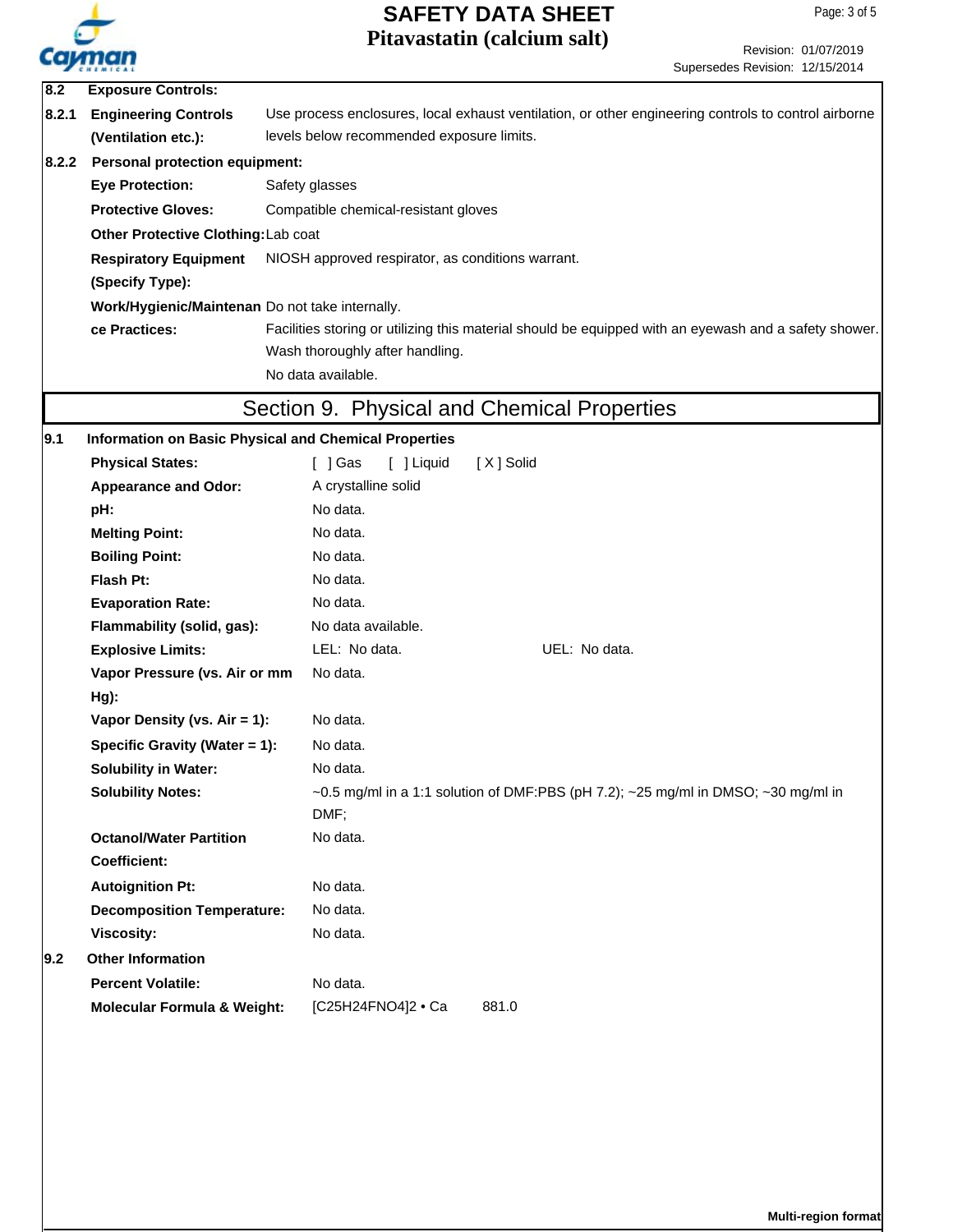

Revision: 01/07/2019 Supersedes Revision: 12/15/2014

| 8.2                                                                                                                    | <b>Exposure Controls:</b>                                        |                                                                                                      |  |  |  |  |
|------------------------------------------------------------------------------------------------------------------------|------------------------------------------------------------------|------------------------------------------------------------------------------------------------------|--|--|--|--|
| 8.2.1                                                                                                                  | <b>Engineering Controls</b>                                      | Use process enclosures, local exhaust ventilation, or other engineering controls to control airborne |  |  |  |  |
|                                                                                                                        | levels below recommended exposure limits.<br>(Ventilation etc.): |                                                                                                      |  |  |  |  |
| 8.2.2                                                                                                                  | <b>Personal protection equipment:</b>                            |                                                                                                      |  |  |  |  |
|                                                                                                                        | <b>Eye Protection:</b>                                           | Safety glasses                                                                                       |  |  |  |  |
|                                                                                                                        | <b>Protective Gloves:</b>                                        | Compatible chemical-resistant gloves                                                                 |  |  |  |  |
|                                                                                                                        | Other Protective Clothing: Lab coat                              |                                                                                                      |  |  |  |  |
|                                                                                                                        | <b>Respiratory Equipment</b>                                     | NIOSH approved respirator, as conditions warrant.                                                    |  |  |  |  |
|                                                                                                                        | (Specify Type):                                                  |                                                                                                      |  |  |  |  |
|                                                                                                                        | Work/Hygienic/Maintenan Do not take internally.                  |                                                                                                      |  |  |  |  |
| ce Practices:<br>Facilities storing or utilizing this material should be equipped with an eyewash and a safety shower. |                                                                  |                                                                                                      |  |  |  |  |
|                                                                                                                        | Wash thoroughly after handling.                                  |                                                                                                      |  |  |  |  |
|                                                                                                                        |                                                                  | No data available.                                                                                   |  |  |  |  |
|                                                                                                                        |                                                                  | Section 9. Physical and Chemical Properties                                                          |  |  |  |  |
| 9.1                                                                                                                    | <b>Information on Basic Physical and Chemical Properties</b>     |                                                                                                      |  |  |  |  |
|                                                                                                                        | <b>Physical States:</b>                                          | [X] Solid<br>[ ] Gas<br>[ ] Liquid                                                                   |  |  |  |  |
|                                                                                                                        | <b>Appearance and Odor:</b>                                      | A crystalline solid                                                                                  |  |  |  |  |
|                                                                                                                        | pH:                                                              | No data.                                                                                             |  |  |  |  |
|                                                                                                                        | <b>Melting Point:</b>                                            | No data.                                                                                             |  |  |  |  |
|                                                                                                                        | <b>Boiling Point:</b>                                            | No data.                                                                                             |  |  |  |  |
|                                                                                                                        | Flash Pt:                                                        | No data.                                                                                             |  |  |  |  |
|                                                                                                                        | <b>Evaporation Rate:</b>                                         | No data.                                                                                             |  |  |  |  |
|                                                                                                                        | Flammability (solid, gas):                                       | No data available.                                                                                   |  |  |  |  |
|                                                                                                                        | <b>Explosive Limits:</b>                                         | LEL: No data.<br>UEL: No data.                                                                       |  |  |  |  |
|                                                                                                                        | Vapor Pressure (vs. Air or mm                                    | No data.                                                                                             |  |  |  |  |
|                                                                                                                        | Hg):                                                             |                                                                                                      |  |  |  |  |
| Vapor Density (vs. Air = 1):                                                                                           |                                                                  | No data.                                                                                             |  |  |  |  |
|                                                                                                                        | Specific Gravity (Water = 1):                                    | No data.                                                                                             |  |  |  |  |
|                                                                                                                        | <b>Solubility in Water:</b>                                      | No data.                                                                                             |  |  |  |  |
|                                                                                                                        | <b>Solubility Notes:</b>                                         | $\sim$ 0.5 mg/ml in a 1:1 solution of DMF:PBS (pH 7.2); $\sim$ 25 mg/ml in DMSO; $\sim$ 30 mg/ml in  |  |  |  |  |
|                                                                                                                        |                                                                  | DMF;                                                                                                 |  |  |  |  |
|                                                                                                                        | <b>Octanol/Water Partition</b>                                   | No data.                                                                                             |  |  |  |  |
|                                                                                                                        | <b>Coefficient:</b>                                              |                                                                                                      |  |  |  |  |
|                                                                                                                        | <b>Autoignition Pt:</b>                                          | No data.                                                                                             |  |  |  |  |
|                                                                                                                        | <b>Decomposition Temperature:</b>                                | No data.                                                                                             |  |  |  |  |
|                                                                                                                        | <b>Viscosity:</b>                                                | No data.                                                                                             |  |  |  |  |
| 9.2                                                                                                                    | <b>Other Information</b>                                         |                                                                                                      |  |  |  |  |
|                                                                                                                        | <b>Percent Volatile:</b>                                         | No data.                                                                                             |  |  |  |  |
|                                                                                                                        | <b>Molecular Formula &amp; Weight:</b>                           | [C25H24FNO4]2 · Ca<br>881.0                                                                          |  |  |  |  |
|                                                                                                                        |                                                                  |                                                                                                      |  |  |  |  |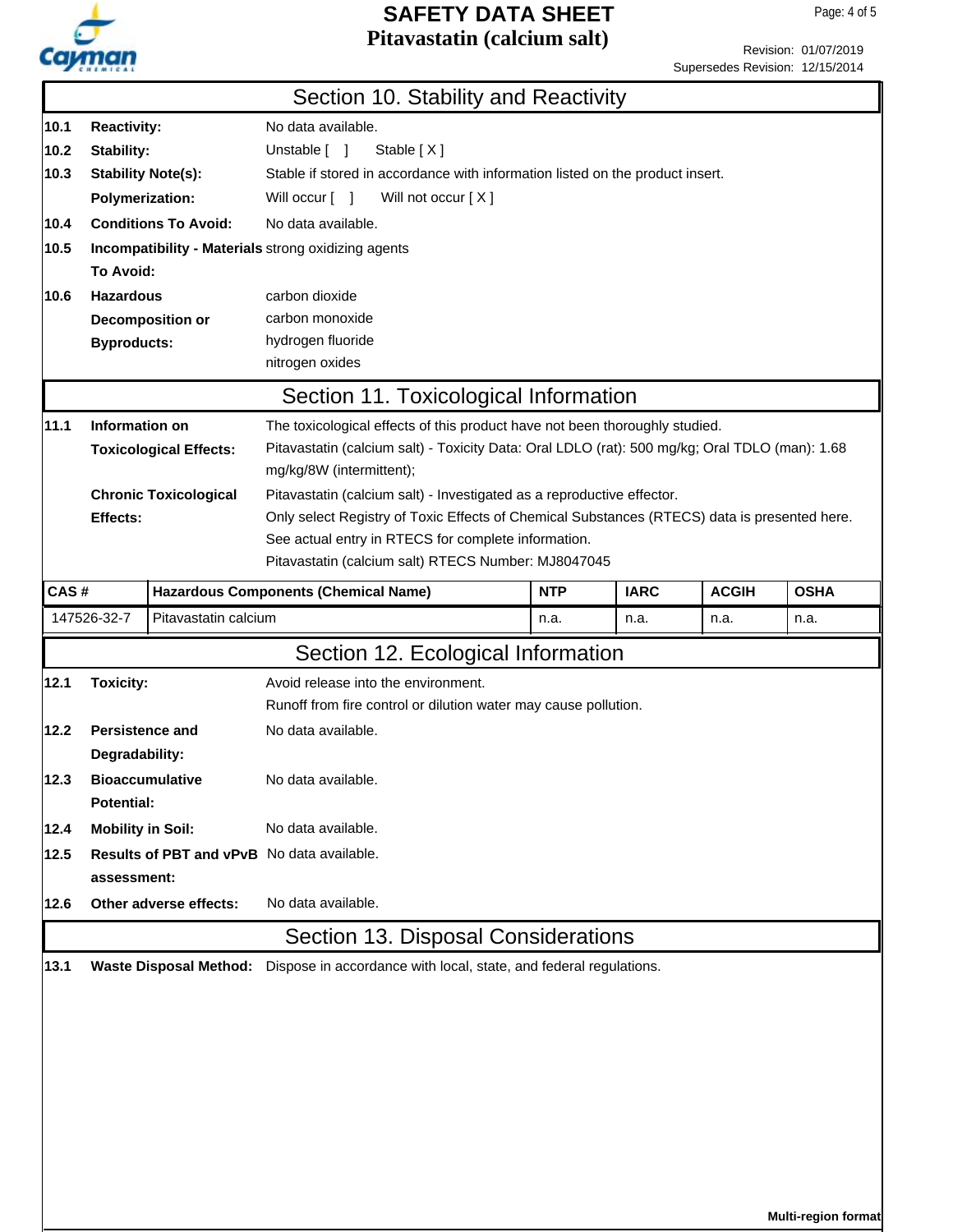

**Multi-region format**

Revision: 01/07/2019 Supersedes Revision: 12/15/2014

|             |                                                                                          |                              | Section 10. Stability and Reactivity                                                           |            |             |              |             |  |  |
|-------------|------------------------------------------------------------------------------------------|------------------------------|------------------------------------------------------------------------------------------------|------------|-------------|--------------|-------------|--|--|
| 10.1        | No data available.<br><b>Reactivity:</b>                                                 |                              |                                                                                                |            |             |              |             |  |  |
| 10.2        | Stability:                                                                               |                              | Unstable [ ]<br>Stable [X]                                                                     |            |             |              |             |  |  |
| 10.3        | <b>Stability Note(s):</b>                                                                |                              | Stable if stored in accordance with information listed on the product insert.                  |            |             |              |             |  |  |
|             | <b>Polymerization:</b>                                                                   |                              | Will not occur [X]<br>Will occur [ ]                                                           |            |             |              |             |  |  |
| 10.4        |                                                                                          | <b>Conditions To Avoid:</b>  | No data available.                                                                             |            |             |              |             |  |  |
| 10.5        |                                                                                          |                              | Incompatibility - Materials strong oxidizing agents                                            |            |             |              |             |  |  |
| To Avoid:   |                                                                                          |                              |                                                                                                |            |             |              |             |  |  |
| 10.6        | <b>Hazardous</b>                                                                         |                              | carbon dioxide                                                                                 |            |             |              |             |  |  |
|             |                                                                                          | Decomposition or             | carbon monoxide                                                                                |            |             |              |             |  |  |
|             | <b>Byproducts:</b>                                                                       |                              | hydrogen fluoride                                                                              |            |             |              |             |  |  |
|             |                                                                                          |                              | nitrogen oxides                                                                                |            |             |              |             |  |  |
|             | Section 11. Toxicological Information                                                    |                              |                                                                                                |            |             |              |             |  |  |
| 11.1        | Information on                                                                           |                              | The toxicological effects of this product have not been thoroughly studied.                    |            |             |              |             |  |  |
|             | <b>Toxicological Effects:</b>                                                            |                              | Pitavastatin (calcium salt) - Toxicity Data: Oral LDLO (rat): 500 mg/kg; Oral TDLO (man): 1.68 |            |             |              |             |  |  |
|             |                                                                                          |                              | mg/kg/8W (intermittent);                                                                       |            |             |              |             |  |  |
|             |                                                                                          | <b>Chronic Toxicological</b> | Pitavastatin (calcium salt) - Investigated as a reproductive effector.                         |            |             |              |             |  |  |
|             | Effects:                                                                                 |                              | Only select Registry of Toxic Effects of Chemical Substances (RTECS) data is presented here.   |            |             |              |             |  |  |
|             |                                                                                          |                              | See actual entry in RTECS for complete information.                                            |            |             |              |             |  |  |
|             | Pitavastatin (calcium salt) RTECS Number: MJ8047045                                      |                              |                                                                                                |            |             |              |             |  |  |
| CAS#        |                                                                                          |                              | <b>Hazardous Components (Chemical Name)</b>                                                    | <b>NTP</b> | <b>IARC</b> | <b>ACGIH</b> | <b>OSHA</b> |  |  |
|             | 147526-32-7                                                                              | Pitavastatin calcium         | n.a.<br>n.a.<br>n.a.<br>n.a.                                                                   |            |             |              |             |  |  |
|             |                                                                                          |                              | Section 12. Ecological Information                                                             |            |             |              |             |  |  |
| 12.1        | <b>Toxicity:</b>                                                                         |                              | Avoid release into the environment.                                                            |            |             |              |             |  |  |
|             |                                                                                          |                              | Runoff from fire control or dilution water may cause pollution.                                |            |             |              |             |  |  |
| 12.2        | <b>Persistence and</b>                                                                   |                              | No data available.                                                                             |            |             |              |             |  |  |
|             | Degradability:                                                                           |                              |                                                                                                |            |             |              |             |  |  |
| 12.3        | <b>Bioaccumulative</b>                                                                   |                              | No data available.                                                                             |            |             |              |             |  |  |
|             | <b>Potential:</b>                                                                        |                              |                                                                                                |            |             |              |             |  |  |
| 12.4        | <b>Mobility in Soil:</b>                                                                 |                              | No data available.                                                                             |            |             |              |             |  |  |
| 12.5        | Results of PBT and vPvB No data available.                                               |                              |                                                                                                |            |             |              |             |  |  |
| assessment: |                                                                                          |                              |                                                                                                |            |             |              |             |  |  |
| 12.6        | Other adverse effects:                                                                   |                              | No data available.                                                                             |            |             |              |             |  |  |
|             | Section 13. Disposal Considerations                                                      |                              |                                                                                                |            |             |              |             |  |  |
| 13.1        |                                                                                          |                              |                                                                                                |            |             |              |             |  |  |
|             | Waste Disposal Method: Dispose in accordance with local, state, and federal regulations. |                              |                                                                                                |            |             |              |             |  |  |
|             |                                                                                          |                              |                                                                                                |            |             |              |             |  |  |
|             |                                                                                          |                              |                                                                                                |            |             |              |             |  |  |
|             |                                                                                          |                              |                                                                                                |            |             |              |             |  |  |
|             |                                                                                          |                              |                                                                                                |            |             |              |             |  |  |
|             |                                                                                          |                              |                                                                                                |            |             |              |             |  |  |
|             |                                                                                          |                              |                                                                                                |            |             |              |             |  |  |
|             |                                                                                          |                              |                                                                                                |            |             |              |             |  |  |
|             |                                                                                          |                              |                                                                                                |            |             |              |             |  |  |
|             |                                                                                          |                              |                                                                                                |            |             |              |             |  |  |